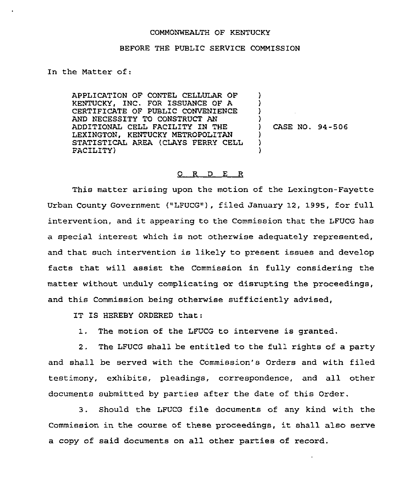## COMMONWEALTH OF KENTUCKY

## BEFORE THE PUBLIC SERVICE COMMISSION

In the Natter of:

APPLICATION OF CONTEL CELLULAR OF KENTUCKY, INC. FOR ISSUANCE OF A CERTIFICATE OF PUBLIC CONVENIENCE AND NECESSITY TO CONSTRUCT AN ADDITIONAL CELL FACILITY IN THE LEXINGTON, KENTUCKY METROPOLITAN STATISTICAL AREA {CLAYS FERRY CELL FACILITY)

) CASE NO. 94-506

) ) ) )

> ) 3 )

## O R D E R

This matter arising upon the motion of the Lexington-Fayette Urban County Government ("LFUCG"), filed January 12, 1995, for full intervention, and it appearing to the Commission that the LFUCG has a special interest which is not otherwise adequately represented, and that such intervention is likely to present issues and develop facts that will assist the Commission in fully considering the matter without unduly complicating or disrupting the proceedings, and this Commission being otherwise sufficiently advised,

IT IS HEREBY ORDERED that:

1. The motion of the LFUCG to intervene is granted.

2. The LFUCG shall be entitled to the full rights of a party and shall be served with the Commission's Orders and with filed testimony, exhibits, pleadings, correspondence, and all other documents submitted by parties after the date of this Order.

3. Should the LFUCG file documents of any kind with the Commission in the course of these proceedings, it shall also serve a copy of said documents on all other parties of record.